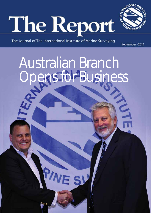



The Journal of The International Institute of Marine Surveying

PN

September - 2011

Australian Branch Opens for Business

VE SV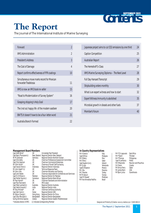# Gonten SEPTEMBER 2011

## **The Report**

The Journal of The International Institute of Marine Surveying

| Forward                                                            | $\overline{2}$ |
|--------------------------------------------------------------------|----------------|
| <b>IIMS Administration</b>                                         | $\overline{2}$ |
| President's Address                                                | $\overline{3}$ |
| The Cost of Damage                                                 | 4              |
| Report confirms effectiveness of FFR coatings                      | 10             |
| Simultaneous move marks record for Mexican<br>forwarder Tradelossa | 11             |
| IIMS is now an IMO book re-seller                                  | 15             |
| "Road to Modernization of Survey System"                           | 16             |
| Grasping shipping's Holy Grail                                     | 17             |
| The (not so) happy life of the modern seafarer                     | 20             |
| BWTS: It doesn't have to be a four-letter word                     | 21             |
| Australia Branch Formed                                            | 22             |

| Japanese project aims to cut CO2 emissions by one third | 24 |
|---------------------------------------------------------|----|
| Caption Competition                                     | 25 |
| Australian Report                                       | 26 |
| The Herreshoff S-Class                                  | 27 |
| IIMS Marine Surveying Diploma - The Next Level          | 28 |
| <b>Full Day Hansard Transcript</b>                      | 29 |
| Shipbuilding orders monthly                             | 30 |
| What is an expert witness and how to start              | 32 |
| Expert Witness Immunity Is abolished                    | 35 |
| Microbial growth in diesels and other fuels             | 37 |
| Member's Forum                                          | 40 |
|                                                         |    |

#### **Management Board Members**

| Capt Allen Brink*           | UK         | Immediate Past President                          |
|-----------------------------|------------|---------------------------------------------------|
| Capt Barry Thompson(c)      |            | New Zealand Regional Director New Zealand         |
| Mr M Zukowski               | Germany    | Regional Director Northern Europe                 |
| Capt Chris Kelly            | UKI        | <b>Chairman Professional Assessment Committee</b> |
| Capt Chris Spencer          | UKI        | <b>Chairman Commercial Enterprises</b>            |
| Mr Colin South*             | UKI        | Chairman of Small Craft Surveying                 |
| Capt Irawan Alwi(c)         | Indonesia  | Regional Director Indonesia                       |
| Mr John Heath*(c)           | UKI        | Technical Response Team                           |
| Mr John Lillie              | UKI        | Chairman Education and Training                   |
| Capt John Noble             | UK         | Chairman responsible for Conferences and Seminars |
| Capt K U R Khan(c)          | Pakistan   | Regional Director for Pakistan                    |
| Capt Parfait Oyono(c)       | Cameroon   | Regional Director West African                    |
| Mr Paul Homer*              | UKI        | Chairman Standards and Administration             |
| Capt Paul Townsend          | UK         | IMO Liason                                        |
| Capt Peter Lambert(c)       | Australia  | Regional Director Australia                       |
| Capt Satish Anand(c)        | India      | Regional Director India                           |
| Mr Tony McGrail*            | UKI        | Chairman Certifying Authority                     |
| Capt Zarir Irani(c)         | Dubai      | Regional Director UAE                             |
| Mr Zenon Cheng(c)           | Hong Kong  | Regional Director for China                       |
| Capt Zillur Bhuiyan(c)      | Bangladesh | Regional Director Bangladesh                      |
| Eurlng Dimitrios Spanos     | Greece     | Regional Director Eastern Mediterranean           |
| *Indicates director of IIMS |            | (c) Indicates Corresponding Member                |

#### **In-Country Representatives**

| Mr A Gnecco              | Italy |
|--------------------------|-------|
| Capt B Khoo              | Mala  |
| Mr D Edery               | Peru  |
| Mr E Parry               | 0ata  |
| Capt Eugene Curry        | Irela |
| Mr G Jugo                | Vene  |
| CaptG Villasenor         | Mex   |
| Mr J Bru                 | Pana  |
| Mr J Rowles              | Turk  |
| Mr M Adouni              | Tuni  |
| Capt M Shareef           | Mal   |
| Mr R de Almedida Padilha | Braz  |
|                          |       |

italy Malaysia<br>Peru Qatar Ireland Venezuela Mexico Panama Turkey Tunisia Maldives Brazil

Mr P Ch Lagoussis East Africa Mr P Taylor Trinidad Mr P Thomas Philippines<br>Capt R Lanfranco Malta Capt R Lanfranco<br>Mr R Reynolds Reunion and Mauritius<br>Croatia Dr S Favro Croatia Mr Emrys Parry Qatar<br>Mr James Renn USA Mr James Renn USA<br>Mr James Renn USA<br>Mr Bjorn Julius Scandinavia Mr Bjorn Julius

Designed and Printed by iQ Creative www.iq-creative.co.uk 01483 484115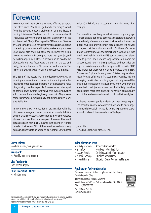## Foreword

In common with many of my age group of former seafarers, I am often asked: 'Would you go back to sea today?' Apart from the obvious practical problems of age and lifestyle, reading this issue of *The Report* would convince me, should I really need convincing, that the answer is assuredly 'No!' The article entitled: *The (Not So) Happy Life Of The Modern Seafarer* by David Savage tells us very clearly that seafarers are prone to arrest by governments, kidnap by pirates and goodness knows what else; and I think that the line between being treated as a criminal for doing no more than your job, and being kidnapped by pirates, is a narrow one. In my day, the biggest dangers we faced were the perils of the sea and dodgy bars in Lourenço Marques; but well done to *The Report* and David Savage for airing these serious matters.

This issue of *The Report*, like its predecessors, gives us an amazing cross-section of marine topics: starting with the President's introduction and ending with the welcome news of a growing membership of IIMS, we are served a banquet of branch news, awards, innovative ship types, innovative ship construction materials, heavy transport of high value cargoes, microbes in fuels, casualty statistics and much more; a veritable feast.

In my former days I worked for an organisation with the ability over many years to capture marine casualty statistics, and the article by Alessio Gnecco jogged my memory. It was always the case that our sample of several thousand casualties each year, mainly insured in the London Market, revealed that almost 50% of the cases involved machinery damage. I once wrote an article called 'Another Day, Another

Failed Crankshaft', and it seems that nothing much has changed.

The two articles involving expert witnesses caught my eye: Mark Solon tells us how to become an expert witness, while immediately afterwards we learn that expert witnesses no longer have immunity in certain circumstances! I think you will agree that this is vital information for those of us who intend to offer ourselves as experts, but it also shows us that we all need training and the IIMS education update tells us how to get it. The IIMS has long offered a diploma for surveyors, and now it is being updated and upgraded an application is being submitted for approval to provide BTEC HND status for those who wish to progress and a BTEC Professional Diploma for entry level. This is a truly excellent move forward offering the first academically verified marine surveying qualification and I urge you, not only to read the article, but to pass it on to anyone you know who may be interested. I will just note here that the IIMS diploma has been copied more than once, but never very convincingly, and I think readers would do well to stick with the original.

In closing, I ask you, gentle reader, to do three things: to pass *The Report* to anyone who doesn't have one; to encourage anyone eligible to join IIMS to do so; and to put pen to paper yourself and contribute an article to *The Report*.

John Lillie MA, CEng, CMarEng, FIMarEST, FIIMS

#### **Guest Editor:**

*John Lillie* MA, CEng, CMarEng, FIMarEST, FIIMS

**President:** *Mr Peter Morgan* (FIIMS, MICorr, MEI)

#### **Vice President:** *Capt Bertrand Appery*

#### **Chief Executive Officer:**

*Mr John Lawrence*

#### **Administration Team:**

*Mrs. Vicky Lawrence* Accounts Administrator *Mrs. Jan Cox* Membership Administrator *Miss. Amy Westrip* Certifying Authority Administrator *Mrs. Anne Liversedge* Education Administrator **Education Course Programme Manager** 

#### **Application for Membership:**

For information or an application form please contact the following The Administration Office International Institute of Marine Surveying Murrills House, 48 East Street, Portchester, Hampshire, PO16 9XS UK Tel +44 (0)23 9238 5223 Fax +44 (0)23 9238 5224 Email info@iims.org.uk



The Institute accepts no responsibility for any opinions, statements, errors made by the authors in any article, feature or letter published in this Journal. © The International Institute of Marine Surveying, 2010. Designed and Printed by iQ Creative www.iq-creative.co.uk 01483 484115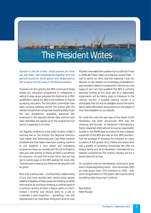

Summer in the UK is here - what summer, do I here you ask? Rain, cold temperatures together with the general economic doom gloom and despondency. Not a happy time for many in the Marine Industry.

However, not all is gloomy, the IIMS continues to forge ahead. Our education programme is undergoing a radical change as we progress the Diploma to a HND qualification, taking the IIMS to the forefront of marine surveying education. The Education Committee have been working tirelessly behind the scenes with the relevant Government recognised Awarding Body to get the new programme upgraded, approved and revamped in the requisite format. New authors have been identified and signed up to the programme. Full launch is expected in October.

Our flagship conference in the exotic location of Bali is looming fast on the horizon. Our Regional Directors Capt. Irawan Alwi (Indonesia) and Capt. Peter Lambert (Australia) and their teams have been working overtime to put together a very varied and interesting programme. Have you booked yet? Do not to forget to take your wife, partner or friend, as there is something for everyone- oh pack the suntan lotion and sun hat. (go to events page on the IIMS website for more info). I look forward to seeing you there, we are assured it will be good.

Now onto a serious note – Confined Entry matters. Many of you may have recently seen various press reports relating to fatalities of ships personnel entering confined entry spaces. As a surveyor entering a confined space is a common activity, whether a leisure yacht or a VLCC. Indeed, I recently was refused entry to a site to undertake a tank inspection – something I am well experienced in, as I have been doing such work for over

40 years. I was asked the question by my client do I have a certificate? Have I been on a training course? Urgh – I had to admit no. Sorry was the response I was not allowed on site, despite my knowledge protestations. I was required to attend a course, which I did and am now happy to say I am duly qualified. The IIMS is currently seriously looking at this issue and as a responsible organization will be taking steps to introduce in the coming months a suitable training course. It is anticipated that this will be available around the world. Some useful information and guidance on the subject is now downloadable on our website.

As I write this note the sad news of the death of Will Henderson has been announced. "Will" was the chairman and founder of Henderson International a highly respected International Surveying organization located in the Middle East and India. He was a stalwart supporter of the IIMS and also an Full IIMS member. I had the privilege of enjoying his company on many occasions. A soft spoken Scot, a fellow bon-viveur who had a wealth of surveying knowledge. We offer his widow, family and all at Henderson International our deepest condolences. The marine industry will be a poorer place for his loss.

On a positive note our membership continues to grow even in these depressing times – since November 2010 we have grown from 1331 members to 1420 – with some 20 applications in the system. We must be doing something right, long may it continue.

Best Wishes Peter Morgan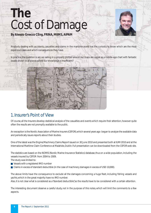## **The** Cost of Damage



*By Alessio Gnecco CEng, FRINA, MIIMS, AIPAM*

Anybody dealing with accidents, casualties and claims in the maritime world has the curiosity to know which are the most expensive cases and which consequences they have.

In practice, the question is: are we sailing in a properly plotted area or our maps are vague as a middle-age chart with fantastic beasts shown in all places where our knowledge is insufficient?



## 1. Insurer's Point of View

Of course, all the Insurers develop statistical analysis of the casualties and events which require their attention, however quite often the results are not promptly available to the public.

An exception is the Nordic Association of Marine Insurers (CEFOR), which several years ago began to analyze the available data and periodically issues reports about their studies.

One of the latest was the Engine/Machinery Claims Report issued on 30 June 2010 and presented both at IUMI 2010 and at the International Maritime Claim Conference at Malahide, Dublin. Full presentation can be downloaded from the CEFOR web site.

The statistics are based on the NOMIS (Nordic Marine Insurance Statistics) database, thus on a wide population, including the vessels insured by CEFOR from 2004 to 2009.

The study was limited to:

- Vessels with a registered IMO number
- Claims in excess of standard deductible (in the case of machinery damages in excess of USD 10,000).

The above limits have the consequence to exclude all the damages concerning a huge fleet, including fishing vessels and yachts, which in the great majority have no IMO number.

Also, it is not clear what is considered as a "standard deductible", so the results have to be considered with a certain attention.

The interesting document deserve a careful study, not in the purpose of this notes, which will limit the comments to a few aspects.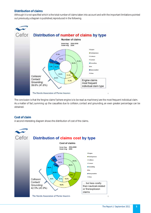#### **Distribution of claims**

Although it is not specified which is the total number of claims taken into account and with the important limitations pointed out previously, a diagram is published, reproduced in the following.



The conclusion is that the "engine claims" (where engine is to be read as machinery) are the most frequent individual claim. As a matter of fact, summing up the casualties due to collision, contact and grounding, an even greater percentage can be obtained.

#### **Cost of claim**

A second interesting diagram shows the distribution of cost of the claims.

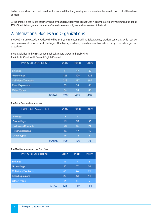No better detail was provided, therefore it is assumed that the given figures are based on the overall claim cost of the whole portfolio.

By this graph it is concluded that the machinery damages, albeit more frequent, are in general less expensive, summing up about 27% of the total cost, where the "nautical" related cases reach figures well above 40% of the total.

## 2. International Bodies and Organizations

The 2009 Maritime Accident Review edited by EMSA, the European Maritime Safety Agency, provides some data which can be taken into account, however due to the target of the Agency, machinery casualties are not considered, being more a damage than an accident.

The data divided in three major geographical area are shown in the following. The Atlantic Coast, North Sea and English Channel

| <b>TYPES OF ACCIDENT</b>   | 2007 | 2008 | 2009 |
|----------------------------|------|------|------|
| <b>Sinkings</b>            | 41   | 47   | 22   |
| Groundings                 | 128  | 128  | 124  |
| <b>Collisions/Contacts</b> | 218  | 197  | 197  |
| <b>Fires/Explosions</b>    | 55   | 59   | 46   |
| Other Types                | 86   | 54   | 48   |
| TOTAL                      | 528  | 485  | 437  |

The Baltic Seas and approaches

| <b>TYPES OF ACCIDENT</b>   | 2007 | 2008 | 2009 |
|----------------------------|------|------|------|
| <b>Sinkings</b>            | 3    | 5    | 3    |
| Groundings                 | 49   | 52   | 33   |
| <b>Collisions/Contacts</b> | 23   | 35   | 24   |
| <b>Fires/Explosions</b>    | 16   | 17   | 10   |
| <b>Other Types</b>         | 15   | 11   | 5    |
| TOTAL                      | 106  | 120  | 75   |

The Mediterranean and the Black Sea

| <b>TYPES OF ACCIDENT</b>   | 2007 | 2008 | 2009 |
|----------------------------|------|------|------|
| <b>Sinkings</b>            | 11   | 9    | 3    |
| Groundings                 | 20   | 37   | 20   |
| <b>Collisions/Contacts</b> | 63   | 76   | 71   |
| <b>Fires/Explosions</b>    | 20   | 13   | 11   |
| <b>Other Types</b>         | 14   | 14   | 9    |
| TOTAL                      | 128  | 149  | 114  |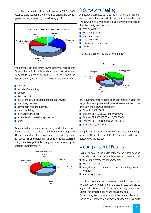It can be concluded that in the three years  $2007 \div 2009$ occurred 2,142 accidents and the relative percentage of each type of casualty is shown by the following graph.



Another source of data is from IMO, the International Maritime Organization, which collects data about casualties and incidents denounced as per MSC-MEPC.3/Circ.3, where the types of events (the so-called "initial event") are divided into:

#### ■ collision

- stranding/ grounding
- contact
- fire or explosion
- hull failure/ failure of watertight doors/ports, etc.
- machinery damage
- damages to ship or equipment
- capsizing/listing
- missing: assumed lost
- accidents with life-saving appliances
- other

By summing together some of the categories, to obtain results as much as possible coherent with the previous graph (i.e. "Others" to include hull failure, machinery damage and damage to ship and equipment, "Sinkings" to include capsizing, listing and missing), the following graph was obtained by the available IMO information.



### 3. Surveyor's Feeling

A message was sent to some asking which was the feeling of each of them, without any calculation or rational consideration. The surveyors were requested to give a percentage to each of the following type of casualty:

- Adverse Weather
- Fire and Explosion
- **Structural Collapse**
- Mechanical Failure
- Collision and Grounding
- Others

The results are shown by the following graph.



The surveyors were also asked to give an indication about the range of value of gross claim in which they are involved, to be divided in the following categories:

- Below EUR 100,000.00
- Between EUR 100,000.00 and 500,000.00
- Between EUR 500,000,00 and 1,000,000,00
- Between EUR 1,000,000,00 and 5,000,000,00
- Above EUR 5,000,000.00

Roughly two/thirds put the core of their cases in the range between EUR 500,000 and 1,000,000 and one/third between EUR 100,000 and 500,000.

## 4. Comparison of Results

Taking into account the results of the available data, it can be concluded that our world is fully aware and convinced that the three main categories of damage are:

- Fire and explosions
- Navigation related damages (collisions, groundings, adverse weather)
- Machinery damages.

The above is quite obvious, however the differences in the weight of each category within the total of casualties are so huge that it is very difficult to carry out any comparison without further assumptions and considerations.

For instance, even focusing on the two categories which should be less prone to misinterpretations, the results are quite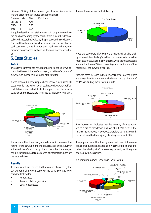different. Making 1 the percentage of casualties due to fire/explosion for each source of data, we obtain:

Collisions

| Source of data |   | Fire |
|----------------|---|------|
| CFFOR.         |   | 4.75 |
| EMSA           |   | 3.33 |
| IMO            | 1 | 0.94 |

It is quite clear that the databases are not comparable and are too much depending by the source from which the data are collected and, probably, also by the purpose of their collection. Further difficulties arise from the differences in classification of each casualties i.e. what is considered "machinery", whether the proximate cause or the root one are taken into account and so on.

### 5. Case Studies

#### **Tools**

The above summarized results brought to consider which could be the contribute of a surveyor, or better of a group of surveyors, to a deeper knowledge of the matter.

It was prepared a very simple check list by which some 80 cases to which the writer had direct knowledge were codified and statistics elaborated. A blank sample of the check list is attached and the results are simplified by the following graph.



It was found that there is a good relationship between "the feeling" of the surveyors and the actual cases a single surveyor witnessed, therefore in the opinion of the writer the surveyor can be considered a reliable source of information, possibly the most reliable.

#### **Results**

To show which are the results that can be obtained by the back-ground of a typical surveyor, the same 80 cases were analyzed looking for:

- Root causes
- Amount of damage/claim
- What was affected

The results are shown in the following.



Note: the surveyors of AIPAM were requested to give their opinion and their "feeling" was that the human factor was the root cause of casualties in 65% of cases, while technical reasons were at the base of 28% of cases. Again, an indication of the reliability of the surveyors' "feeling".

Also, the cases included in the personal portfolio of the writer were examined to determine which was the distribution of cost/claim, finding the following results.



The above graph indicates that the majority of cases about which a direct knowledge was available (58%) were in the range of EUR 100,000  $\div$  1,000,000, therefore comparable with those followed by the majority of colleagues from AIPAM.

The population of the directly examined cases it therefore considered quite significant and it was therefore analyzed to determine which part of the vessel, equipment, machinery was affected by the casualties.

#### A summarizing graph is shown in the following.